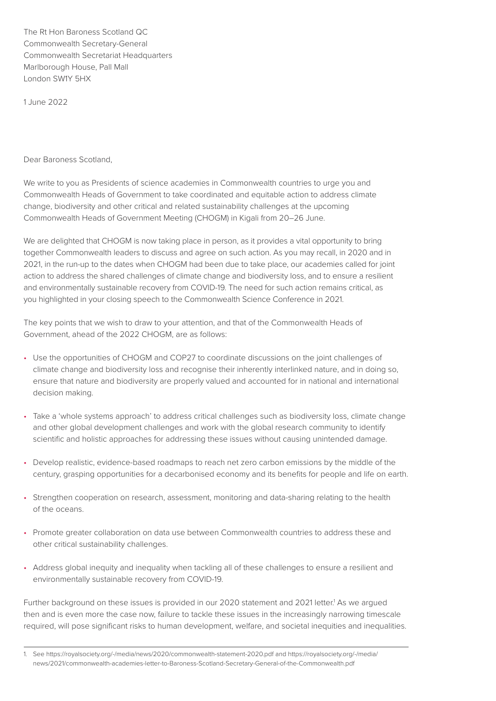The Rt Hon Baroness Scotland QC Commonwealth Secretary-General Commonwealth Secretariat Headquarters Marlborough House, Pall Mall London SW1Y 5HX

1 June 2022

Dear Baroness Scotland,

We write to you as Presidents of science academies in Commonwealth countries to urge you and Commonwealth Heads of Government to take coordinated and equitable action to address climate change, biodiversity and other critical and related sustainability challenges at the upcoming Commonwealth Heads of Government Meeting (CHOGM) in Kigali from 20–26 June.

We are delighted that CHOGM is now taking place in person, as it provides a vital opportunity to bring together Commonwealth leaders to discuss and agree on such action. As you may recall, in 2020 and in 2021, in the run-up to the dates when CHOGM had been due to take place, our academies called for joint action to address the shared challenges of climate change and biodiversity loss, and to ensure a resilient and environmentally sustainable recovery from COVID-19. The need for such action remains critical, as you highlighted in your closing speech to the Commonwealth Science Conference in 2021.

The key points that we wish to draw to your attention, and that of the Commonwealth Heads of Government, ahead of the 2022 CHOGM, are as follows:

- Use the opportunities of CHOGM and COP27 to coordinate discussions on the joint challenges of climate change and biodiversity loss and recognise their inherently interlinked nature, and in doing so, ensure that nature and biodiversity are properly valued and accounted for in national and international decision making.
- Take a 'whole systems approach' to address critical challenges such as biodiversity loss, climate change and other global development challenges and work with the global research community to identify scientific and holistic approaches for addressing these issues without causing unintended damage.
- Develop realistic, evidence-based roadmaps to reach net zero carbon emissions by the middle of the century, grasping opportunities for a decarbonised economy and its benefits for people and life on earth.
- Strengthen cooperation on research, assessment, monitoring and data-sharing relating to the health of the oceans.
- Promote greater collaboration on data use between Commonwealth countries to address these and other critical sustainability challenges.
- Address global inequity and inequality when tackling all of these challenges to ensure a resilient and environmentally sustainable recovery from COVID-19.

Further background on these issues is provided in our 2020 statement and 2021 letter.<sup>1</sup> As we argued then and is even more the case now, failure to tackle these issues in the increasingly narrowing timescale required, will pose significant risks to human development, welfare, and societal inequities and inequalities.

<sup>1.</sup> See<https://royalsociety.org/-/media/news/2020/commonwealth-statement-2020.pdf>and [https://royalsociety.org/-/media/](https://royalsociety.org/-/media/news/2021/commonwealth-academies-letter-to-Baroness-Scotland-Secretary-General-of-the-Commonwealth.pdf) [news/2021/commonwealth-academies-letter-to-Baroness-Scotland-Secretary-General-of-the-Commonwealth.pdf](https://royalsociety.org/-/media/news/2021/commonwealth-academies-letter-to-Baroness-Scotland-Secretary-General-of-the-Commonwealth.pdf)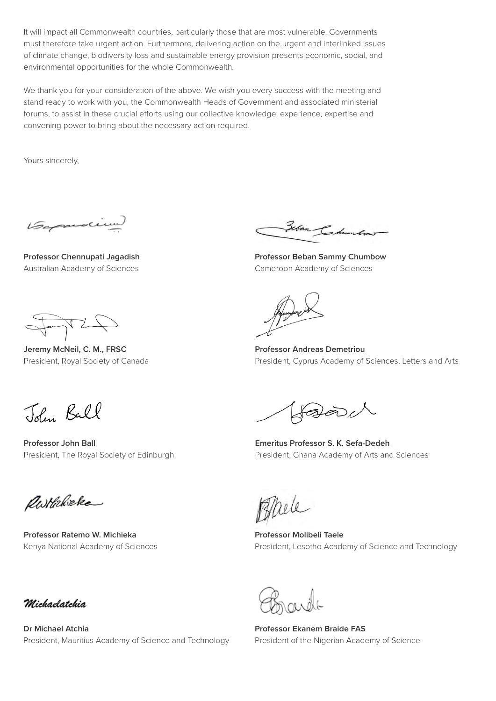It will impact all Commonwealth countries, particularly those that are most vulnerable. Governments must therefore take urgent action. Furthermore, delivering action on the urgent and interlinked issues of climate change, biodiversity loss and sustainable energy provision presents economic, social, and environmental opportunities for the whole Commonwealth.

We thank you for your consideration of the above. We wish you every success with the meeting and stand ready to work with you, the Commonwealth Heads of Government and associated ministerial forums, to assist in these crucial efforts using our collective knowledge, experience, expertise and convening power to bring about the necessary action required.

Yours sincerely,

Gasadium

**Professor Chennupati Jagadish** Australian Academy of Sciences

Forcis

**Jeremy McNeil, C. M., FRSC** President, Royal Society of Canada

Zeban Chum

**Professor Beban Sammy Chumbow** Cameroon Academy of Sciences

**Professor Andreas Demetriou** President, Cyprus Academy of Sciences, Letters and Arts

John Ball

**Professor John Ball** President, The Royal Society of Edinburgh

faleoch

**Emeritus Professor S. K. Sefa-Dedeh** President, Ghana Academy of Arts and Sciences

Rothricke

**Professor Ratemo W. Michieka** Kenya National Academy of Sciences

Thele

**Professor Molibeli Taele** President, Lesotho Academy of Science and Technology

Michaelatchia

**Dr Michael Atchia** President, Mauritius Academy of Science and Technology

**Professor Ekanem Braide FAS** President of the Nigerian Academy of Science